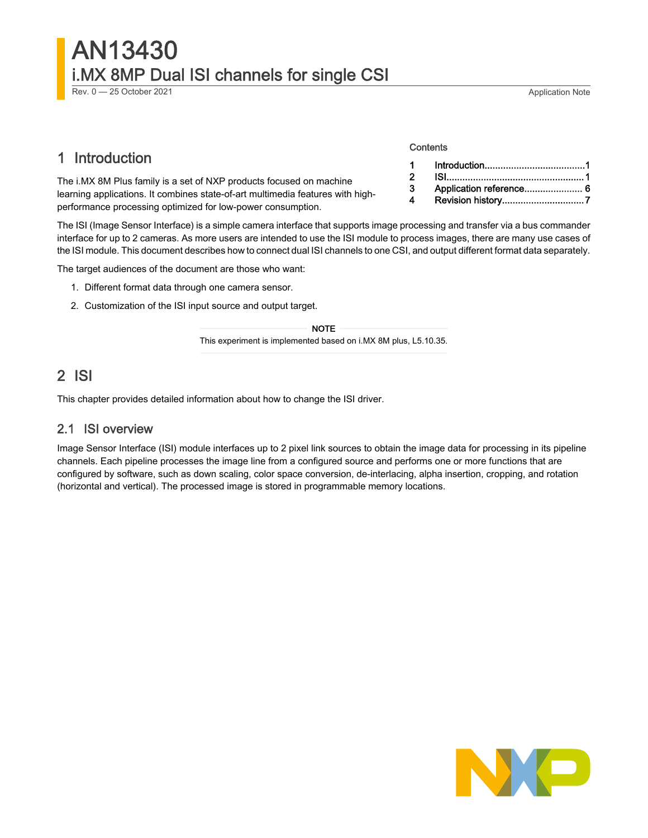# AN13430 i.MX 8MP Dual ISI channels for single CSI

Rev. 0 - 25 October 2021 2021 2021 2022 2023 2024 2024 2022 2023 2024 2022 2023 2024 2022 2023 2024 2022 2023 2022 2023 2022 2023 2022 2023 2022 2023 2022 2023 2022 2023 2022 2023 2022 2023 2022 2023 2022 2023 2022 2023 20

# 1 Introduction

The i.MX 8M Plus family is a set of NXP products focused on machine learning applications. It combines state-of-art multimedia features with highperformance processing optimized for low-power consumption.

The ISI (Image Sensor Interface) is a simple camera interface that supports image processing and transfer via a bus commander interface for up to 2 cameras. As more users are intended to use the ISI module to process images, there are many use cases of the ISI module. This document describes how to connect dual ISI channels to one CSI, and output different format data separately.

The target audiences of the document are those who want:

- 1. Different format data through one camera sensor.
- 2. Customization of the ISI input source and output target.

#### NOTE

This experiment is implemented based on i.MX 8M plus, L5.10.35.

# 2 ISI

This chapter provides detailed information about how to change the ISI driver.

#### 2.1 ISI overview

Image Sensor Interface (ISI) module interfaces up to 2 pixel link sources to obtain the image data for processing in its pipeline channels. Each pipeline processes the image line from a configured source and performs one or more functions that are configured by software, such as down scaling, color space conversion, de-interlacing, alpha insertion, cropping, and rotation (horizontal and vertical). The processed image is stored in programmable memory locations.

# NO

#### **Contents**

| $\blacksquare$ |                         |
|----------------|-------------------------|
| $\overline{2}$ |                         |
| $\mathbf{3}$   | Application reference 6 |
|                |                         |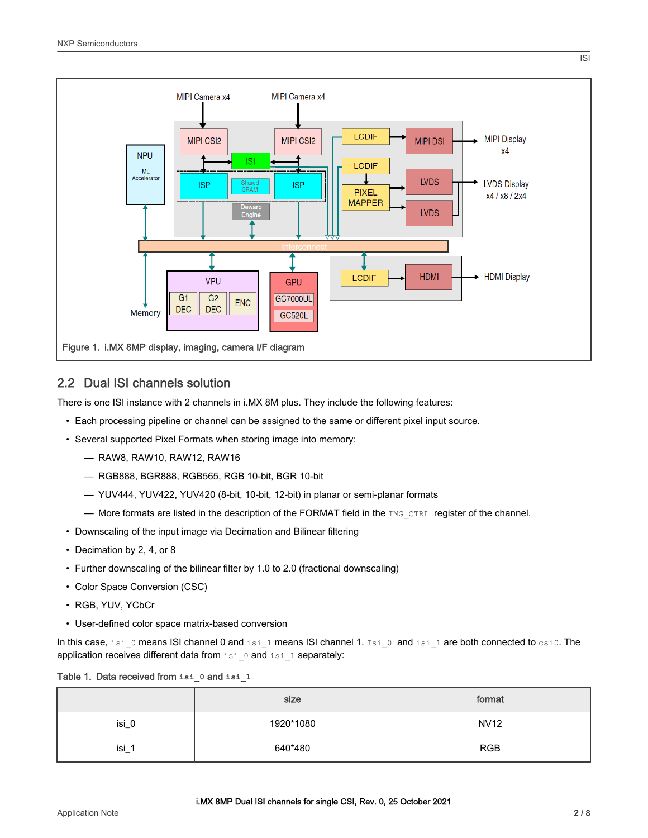

### 2.2 Dual ISI channels solution

There is one ISI instance with 2 channels in i.MX 8M plus. They include the following features:

- Each processing pipeline or channel can be assigned to the same or different pixel input source.
- Several supported Pixel Formats when storing image into memory:
	- RAW8, RAW10, RAW12, RAW16
	- RGB888, BGR888, RGB565, RGB 10-bit, BGR 10-bit
	- YUV444, YUV422, YUV420 (8-bit, 10-bit, 12-bit) in planar or semi-planar formats
	- More formats are listed in the description of the FORMAT field in the  $I$ MG CTRL register of the channel.
- Downscaling of the input image via Decimation and Bilinear filtering
- Decimation by 2, 4, or 8
- Further downscaling of the bilinear filter by 1.0 to 2.0 (fractional downscaling)
- Color Space Conversion (CSC)
- RGB, YUV, YCbCr
- User-defined color space matrix-based conversion

In this case, isi\_0 means ISI channel 0 and isi\_1 means ISI channel 1. Isi\_0 and isi\_1 are both connected to  $csi0$ . The application receives different data from isi\_0 and isi\_1 separately:

#### Table 1. Data received from **isi\_0** and **isi\_1**

|       | size      | format      |
|-------|-----------|-------------|
| isi_0 | 1920*1080 | <b>NV12</b> |
| isi_  | 640*480   | <b>RGB</b>  |

ISI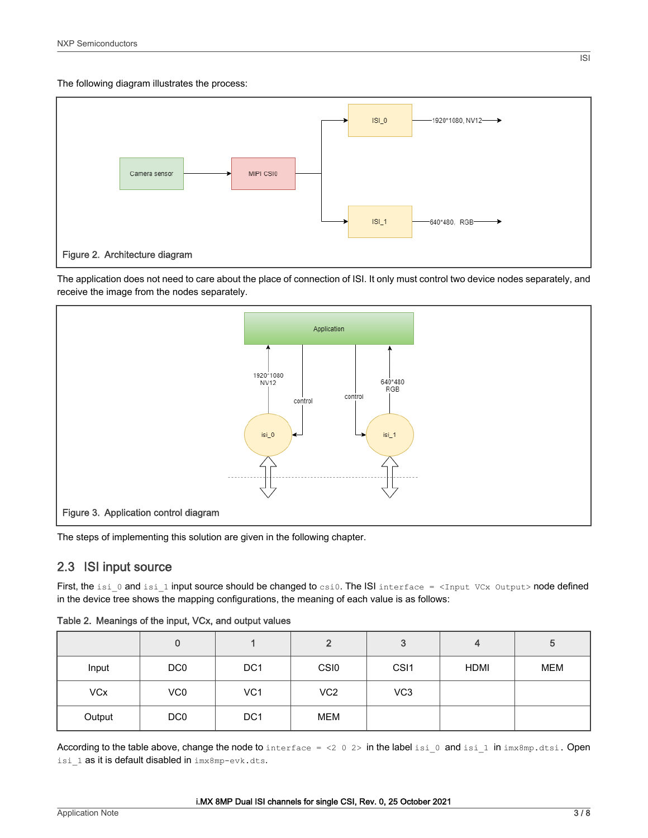The following diagram illustrates the process:



The application does not need to care about the place of connection of ISI. It only must control two device nodes separately, and receive the image from the nodes separately.



The steps of implementing this solution are given in the following chapter.

## 2.3 ISI input source

First, the isi  $0$  and isi  $1$  input source should be changed to  $csi0$ . The ISI interface = <Input VCx Output> node defined in the device tree shows the mapping configurations, the meaning of each value is as follows:

|            | υ               |                 | 2                | 3                | 4           | 5   |
|------------|-----------------|-----------------|------------------|------------------|-------------|-----|
| Input      | DC <sub>0</sub> | DC <sub>1</sub> | CSI <sub>0</sub> | CS <sub>I1</sub> | <b>HDMI</b> | MEM |
| <b>VCx</b> | VC <sub>0</sub> | VC <sub>1</sub> | VC <sub>2</sub>  | VC <sub>3</sub>  |             |     |
| Output     | DC <sub>0</sub> | DC <sub>1</sub> | <b>MEM</b>       |                  |             |     |

Table 2. Meanings of the input, VCx, and output values

According to the table above, change the node to interface = <2 0 2> in the label isi 0 and isi 1 in  $imx8mp$ .dtsi. Open isi 1 as it is default disabled in imx8mp-evk.dts.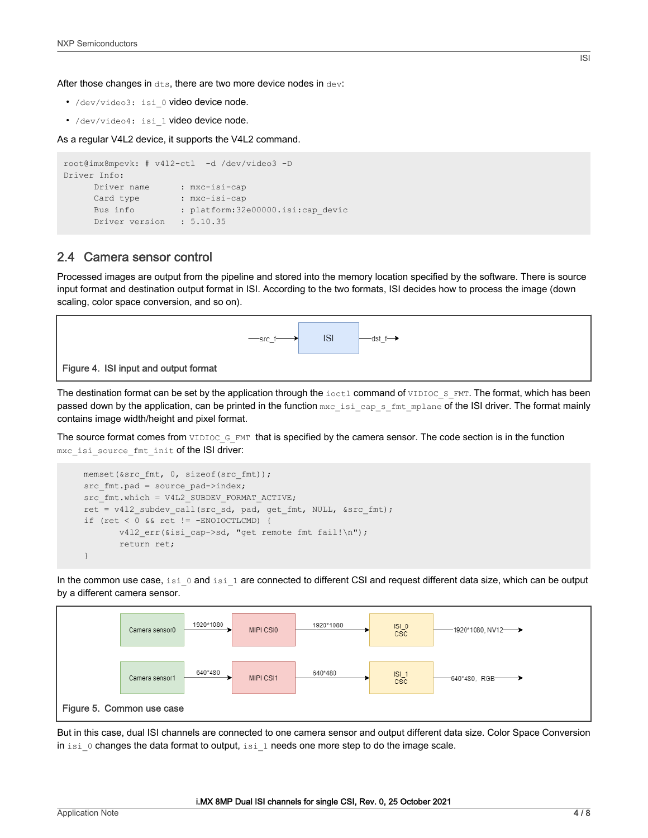After those changes in  $dts$ , there are two more device nodes in  $dev$ :

- /dev/video3: isi\_0 video device node.
- /dev/video4: isi 1 video device node.

As a regular V4L2 device, it supports the V4L2 command.

```
root@imx8mpevk: # v4l2-ctl -d /dev/video3 -D
Driver Info:
    Driver name : mxc-isi-cap
     Card type : mxc-isi-cap
     Bus info : platform: 32e00000.isi:cap_devic
     Driver version : 5.10.35
```
#### 2.4 Camera sensor control

Processed images are output from the pipeline and stored into the memory location specified by the software. There is source input format and destination output format in ISI. According to the two formats, ISI decides how to process the image (down scaling, color space conversion, and so on).



The destination format can be set by the application through the  $i$  octl command of VIDIOC\_S\_FMT. The format, which has been passed down by the application, can be printed in the function  ${}_{\text{mxc}\_\text{is}}=cap_s\_\text{fmt\_mplane}$  of the ISI driver. The format mainly contains image width/height and pixel format.

The source format comes from VIDIOC\_G\_FMT that is specified by the camera sensor. The code section is in the function mxc\_isi\_source\_fmt\_init of the ISI driver:

```
memset(&src_fmt, 0, sizeof(src_fmt));
src fmt.pad = source pad->index;
src_fmt.which = V4L2_SUBDEV_FORMAT_ACTIVE;
 ret = v4l2_subdev_call(src_sd, pad, get_fmt, NULL, &src_fmt);
 if (ret < 0 && ret != -ENOIOCTLCMD) {
       v412 err(&isi cap->sd, "get remote fmt fail!\n");
        return ret;
 }
```
In the common use case, isi  $0$  and isi  $1$  are connected to different CSI and request different data size, which can be output by a different camera sensor.



But in this case, dual ISI channels are connected to one camera sensor and output different data size. Color Space Conversion in isi 0 changes the data format to output, isi 1 needs one more step to do the image scale.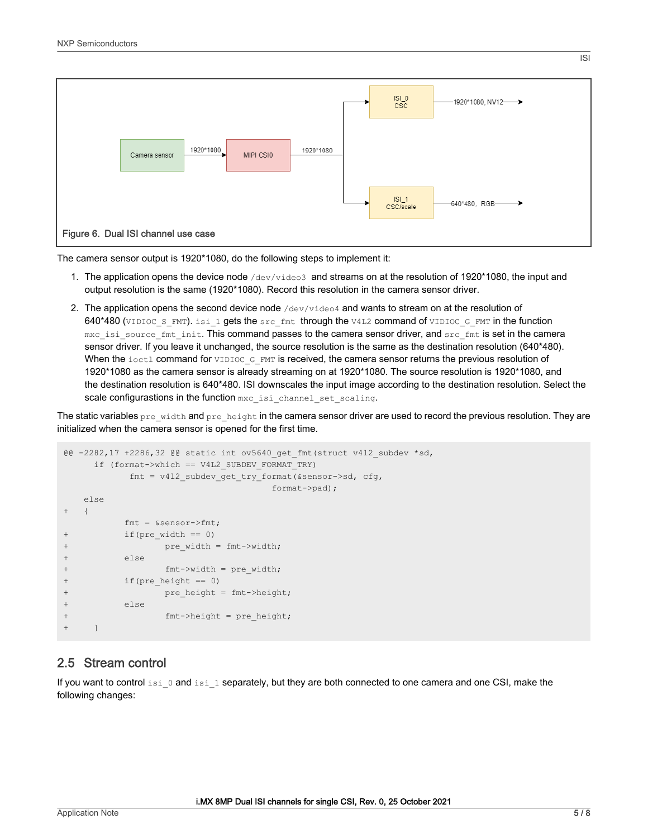

The camera sensor output is 1920\*1080, do the following steps to implement it:

- 1. The application opens the device node  $/$ dev $/$ video3 and streams on at the resolution of 1920\*1080, the input and output resolution is the same (1920\*1080). Record this resolution in the camera sensor driver.
- 2. The application opens the second device node /dev/video4 and wants to stream on at the resolution of 640\*480 (VIDIOC S\_FMT). isi\_1 gets the src\_fmt through the V4L2 command of VIDIOC\_G\_FMT in the function mxc\_isi\_source\_fmt\_init. This command passes to the camera sensor driver, and src\_fmt is set in the camera sensor driver. If you leave it unchanged, the source resolution is the same as the destination resolution (640\*480). When the ioctl command for VIDIOC\_G\_FMT is received, the camera sensor returns the previous resolution of 1920\*1080 as the camera sensor is already streaming on at 1920\*1080. The source resolution is 1920\*1080, and the destination resolution is 640\*480. ISI downscales the input image according to the destination resolution. Select the scale configurastions in the function mxc\_isi\_channel\_set\_scaling.

The static variables pre\_width and pre\_height in the camera sensor driver are used to record the previous resolution. They are initialized when the camera sensor is opened for the first time.

```
@@ -2282,17 +2286,32 @@ static int ov5640_get_fmt(struct v4l2_subdev *sd,
      if (format->which == V4L2_SUBDEV_FORMAT_TRY)
           fmt = v412 subdev get try format(&sensor->sd, cfg,
                                     format->pad);
    else
+ {
          fmt = \&sensor->fmt;+ if(pre width == 0)
+ pre width = fmt->width;
          else
                 fmt->width = pre width;
          if(pre height == 0)pre height = fmt->height;e se
+ fmt->height = pre height;
+ }
```
### 2.5 Stream control

If you want to control isi  $0$  and isi  $1$  separately, but they are both connected to one camera and one CSI, make the following changes:

ISI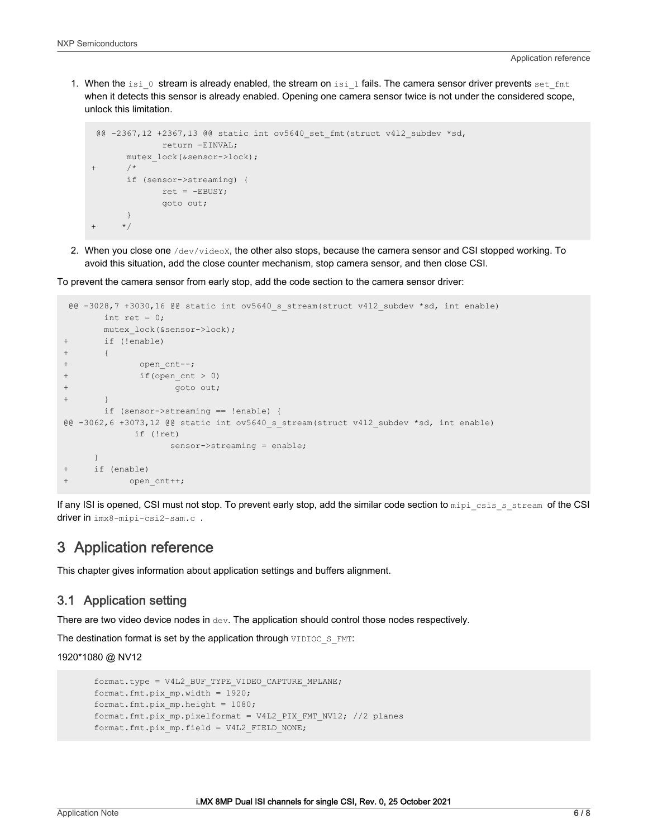<span id="page-5-0"></span>1. When the isi\_0 stream is already enabled, the stream on isi\_1 fails. The camera sensor driver prevents set\_fmt when it detects this sensor is already enabled. Opening one camera sensor twice is not under the considered scope, unlock this limitation.

```
 @@ -2367,12 +2367,13 @@ static int ov5640_set_fmt(struct v4l2_subdev *sd,
               return -EINVAL; 
       mutex lock(&sensor->lock);
+ /* 
        if (sensor->streaming) { 
              ret = -EBUSY;
               goto out;
       } 
      ^{\star} /
```
2. When you close one /dev/videox, the other also stops, because the camera sensor and CSI stopped working. To avoid this situation, add the close counter mechanism, stop camera sensor, and then close CSI.

To prevent the camera sensor from early stop, add the code section to the camera sensor driver:

```
 @@ -3028,7 +3030,16 @@ static int ov5640_s_stream(struct v4l2_subdev *sd, int enable)
      int ret = 0;
       mutex lock(&sensor->lock);
+ if (!enable)
+ {
+ open_cnt--;
+ if(open_cnt > 0)
+ goto out;
       \uparrow if (sensor->streaming == !enable) {
@@ -3062,6 +3073,12 @@ static int ov5640_s_stream(struct v4l2_subdev *sd, int enable)
            if (!ret)
                  sensor->streaming = enable;
 }
+ if (enable)
           open cnt++;
```
If any ISI is opened, CSI must not stop. To prevent early stop, add the similar code section to mipi\_csis\_s\_stream of the CSI driver in imx8-mipi-csi2-sam.c .

## 3 Application reference

This chapter gives information about application settings and buffers alignment.

#### 3.1 Application setting

There are two video device nodes in  $\text{dev}$ . The application should control those nodes respectively.

The destination format is set by the application through VIDIOC\_S\_FMT:

1920\*1080 @ NV12

```
format.type = V4L2_BUF_TYPE_VIDEO_CAPTURE_MPLANE;
 format.fmt.pix_mp.width = 1920;
 format.fmt.pix_mp.height = 1080;
 format.fmt.pix_mp.pixelformat = V4L2_PIX_FMT_NV12; //2 planes
 format.fmt.pix_mp.field = V4L2_FIELD_NONE;
```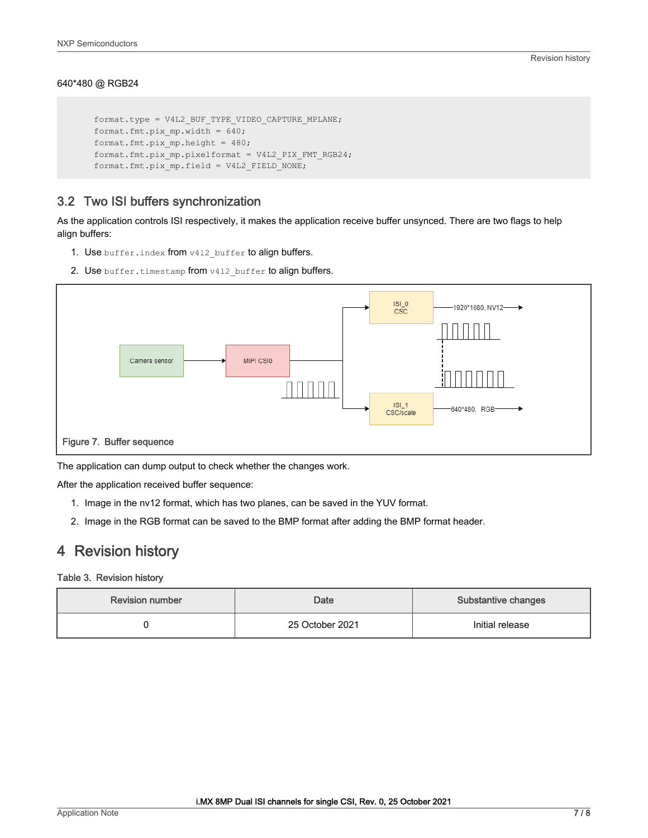#### <span id="page-6-0"></span>640\*480 @ RGB24

```
 format.type = V4L2_BUF_TYPE_VIDEO_CAPTURE_MPLANE;
 format.fmt.pix_mp.width = 640;
 format.fmt.pix_mp.height = 480;
 format.fmt.pix_mp.pixelformat = V4L2_PIX_FMT_RGB24;
 format.fmt.pix_mp.field = V4L2_FIELD_NONE;
```
### 3.2 Two ISI buffers synchronization

As the application controls ISI respectively, it makes the application receive buffer unsynced. There are two flags to help align buffers:

- 1. Use buffer.index from v412 buffer to align buffers.
- 2. Use buffer.timestamp from v412 buffer to align buffers.



The application can dump output to check whether the changes work.

After the application received buffer sequence:

- 1. Image in the nv12 format, which has two planes, can be saved in the YUV format.
- 2. Image in the RGB format can be saved to the BMP format after adding the BMP format header.

# 4 Revision history

#### Table 3. Revision history

| <b>Revision number</b> | <b>Date</b>     | <b>Substantive changes</b> |
|------------------------|-----------------|----------------------------|
|                        | 25 October 2021 | Initial release            |